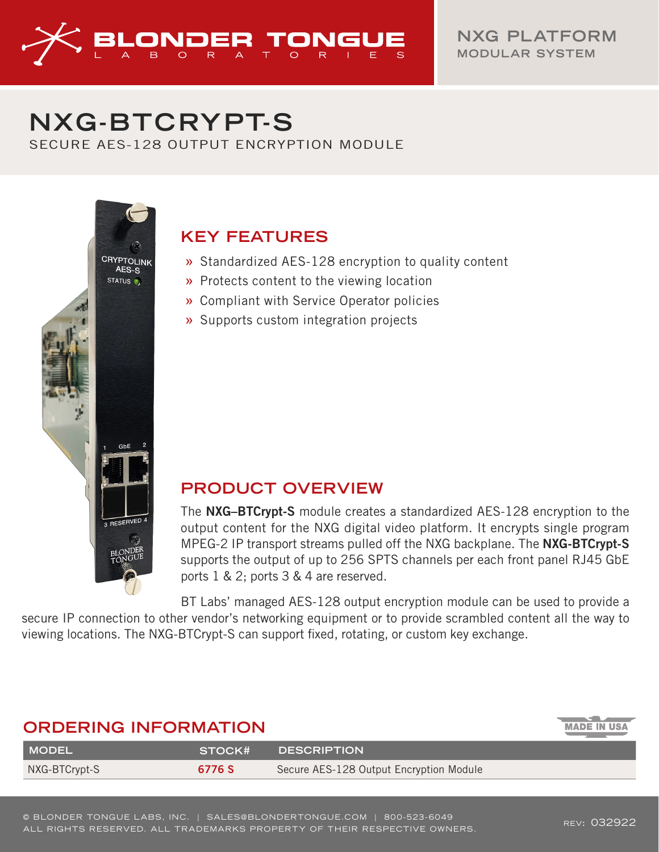

# **NXG -BTCRYPT-S**

SECURE AES-128 OUTPUT ENCRYPTION MODULE



## **KEY FEATURES**

- » Standardized AES-128 encryption to quality content
- » Protects content to the viewing location
- » Compliant with Service Operator policies
- » Supports custom integration projects

### **PRODUCT OVERVIEW**

The NXG–BTCrypt-S module creates a standardized AES-128 encryption to the output content for the NXG digital video platform. It encrypts single program MPEG-2 IP transport streams pulled off the NXG backplane. The NXG-BTCrypt-S supports the output of up to 256 SPTS channels per each front panel RJ45 GbE ports 1 & 2; ports 3 & 4 are reserved.

BT Labs' managed AES-128 output encryption module can be used to provide a secure IP connection to other vendor's networking equipment or to provide scrambled content all the way to viewing locations. The NXG-BTCrypt-S can support fixed, rotating, or custom key exchange.

| <b>ORDERING INFORMATION</b> |        |                                         | <b>MADE IN USA</b> |
|-----------------------------|--------|-----------------------------------------|--------------------|
| <b>MODEL</b>                | STOCK# | <b>DESCRIPTION</b>                      |                    |
| NXG-BTCrypt-S               | 6776 S | Secure AES-128 Output Encryption Module |                    |
|                             |        |                                         |                    |